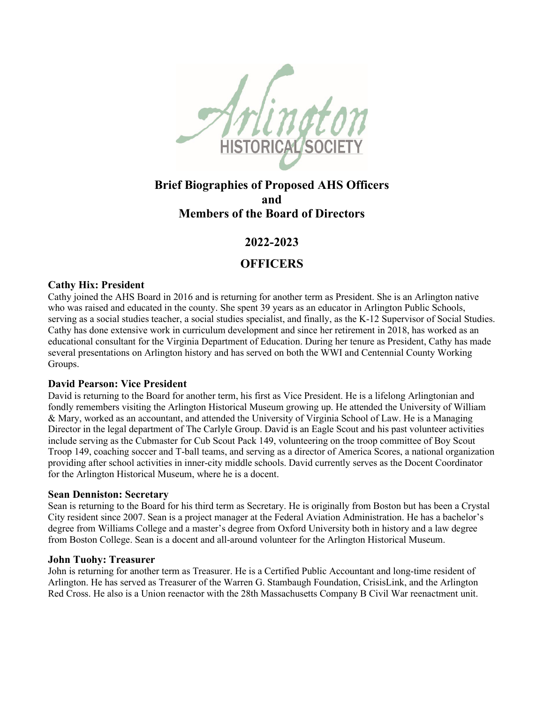

# **Brief Biographies of Proposed AHS Officers and Members of the Board of Directors**

## **2022-2023**

# **OFFICERS**

## **Cathy Hix: President**

Cathy joined the AHS Board in 2016 and is returning for another term as President. She is an Arlington native who was raised and educated in the county. She spent 39 years as an educator in Arlington Public Schools, serving as a social studies teacher, a social studies specialist, and finally, as the K-12 Supervisor of Social Studies. Cathy has done extensive work in curriculum development and since her retirement in 2018, has worked as an educational consultant for the Virginia Department of Education. During her tenure as President, Cathy has made several presentations on Arlington history and has served on both the WWI and Centennial County Working Groups.

## **David Pearson: Vice President**

David is returning to the Board for another term, his first as Vice President. He is a lifelong Arlingtonian and fondly remembers visiting the Arlington Historical Museum growing up. He attended the University of William & Mary, worked as an accountant, and attended the University of Virginia School of Law. He is a Managing Director in the legal department of The Carlyle Group. David is an Eagle Scout and his past volunteer activities include serving as the Cubmaster for Cub Scout Pack 149, volunteering on the troop committee of Boy Scout Troop 149, coaching soccer and T-ball teams, and serving as a director of America Scores, a national organization providing after school activities in inner-city middle schools. David currently serves as the Docent Coordinator for the Arlington Historical Museum, where he is a docent.

#### **Sean Denniston: Secretary**

Sean is returning to the Board for his third term as Secretary. He is originally from Boston but has been a Crystal City resident since 2007. Sean is a project manager at the Federal Aviation Administration. He has a bachelor's degree from Williams College and a master's degree from Oxford University both in history and a law degree from Boston College. Sean is a docent and all-around volunteer for the Arlington Historical Museum.

#### **John Tuohy: Treasurer**

John is returning for another term as Treasurer. He is a Certified Public Accountant and long-time resident of Arlington. He has served as Treasurer of the Warren G. Stambaugh Foundation, CrisisLink, and the Arlington Red Cross. He also is a Union reenactor with the 28th Massachusetts Company B Civil War reenactment unit.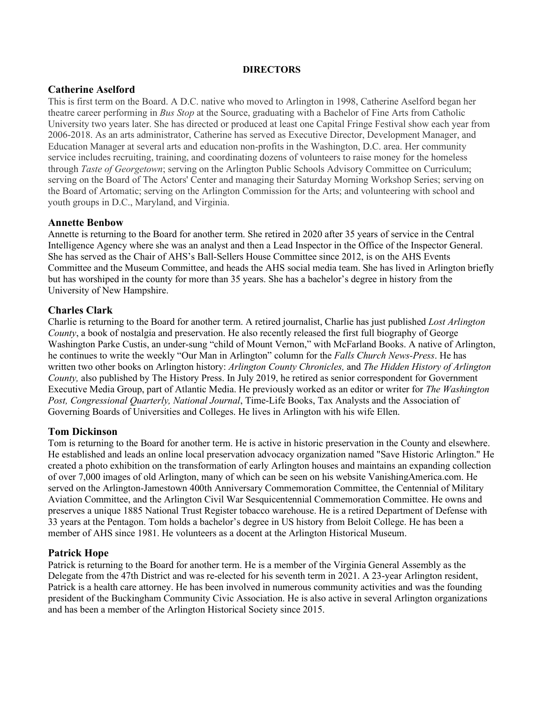#### **DIRECTORS**

### **Catherine Aselford**

This is first term on the Board. A D.C. native who moved to Arlington in 1998, Catherine Aselford began her theatre career performing in *Bus Stop* at the Source, graduating with a Bachelor of Fine Arts from Catholic University two years later. She has directed or produced at least one Capital Fringe Festival show each year from 2006-2018. As an arts administrator, Catherine has served as Executive Director, Development Manager, and Education Manager at several arts and education non-profits in the Washington, D.C. area. Her community service includes recruiting, training, and coordinating dozens of volunteers to raise money for the homeless through *Taste of Georgetown*; serving on the Arlington Public Schools Advisory Committee on Curriculum; serving on the Board of The Actors' Center and managing their Saturday Morning Workshop Series; serving on the Board of Artomatic; serving on the Arlington Commission for the Arts; and volunteering with school and youth groups in D.C., Maryland, and Virginia.

#### **Annette Benbow**

Annette is returning to the Board for another term. She retired in 2020 after 35 years of service in the Central Intelligence Agency where she was an analyst and then a Lead Inspector in the Office of the Inspector General. She has served as the Chair of AHS's Ball-Sellers House Committee since 2012, is on the AHS Events Committee and the Museum Committee, and heads the AHS social media team. She has lived in Arlington briefly but has worshiped in the county for more than 35 years. She has a bachelor's degree in history from the University of New Hampshire.

### **Charles Clark**

Charlie is returning to the Board for another term. A retired journalist, Charlie has just published *Lost Arlington County*, a book of nostalgia and preservation. He also recently released the first full biography of George Washington Parke Custis, an under-sung "child of Mount Vernon," with McFarland Books. A native of Arlington, he continues to write the weekly "Our Man in Arlington" column for the *Falls Church News-Press*. He has written two other books on Arlington history: *Arlington County Chronicles,* and *The Hidden History of Arlington County,* also published by The History Press. In July 2019, he retired as senior correspondent for Government Executive Media Group, part of Atlantic Media. He previously worked as an editor or writer for *The Washington Post, Congressional Quarterly, National Journal*, Time-Life Books, Tax Analysts and the Association of Governing Boards of Universities and Colleges. He lives in Arlington with his wife Ellen.

## **Tom Dickinson**

Tom is returning to the Board for another term. He is active in historic preservation in the County and elsewhere. He established and leads an online local preservation advocacy organization named "Save Historic Arlington." He created a photo exhibition on the transformation of early Arlington houses and maintains an expanding collection of over 7,000 images of old Arlington, many of which can be seen on his website VanishingAmerica.com. He served on the Arlington-Jamestown 400th Anniversary Commemoration Committee, the Centennial of Military Aviation Committee, and the Arlington Civil War Sesquicentennial Commemoration Committee. He owns and preserves a unique 1885 National Trust Register tobacco warehouse. He is a retired Department of Defense with 33 years at the Pentagon. Tom holds a bachelor's degree in US history from Beloit College. He has been a member of AHS since 1981. He volunteers as a docent at the Arlington Historical Museum.

#### **Patrick Hope**

Patrick is returning to the Board for another term. He is a member of the Virginia General Assembly as the Delegate from the 47th District and was re-elected for his seventh term in 2021. A 23-year Arlington resident, Patrick is a health care attorney. He has been involved in numerous community activities and was the founding president of the Buckingham Community Civic Association. He is also active in several Arlington organizations and has been a member of the Arlington Historical Society since 2015.